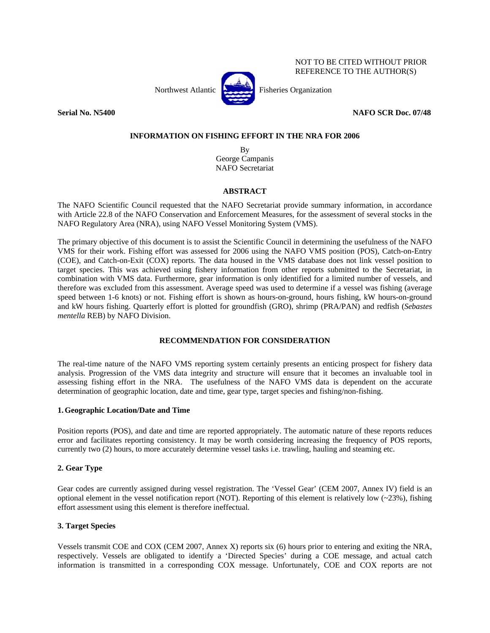

NOT TO BE CITED WITHOUT PRIOR REFERENCE TO THE AUTHOR(S)

**Serial No. N5400 NAFO SCR Doc. 07/48** 

## **INFORMATION ON FISHING EFFORT IN THE NRA FOR 2006**

By George Campanis NAFO Secretariat

# **ABSTRACT**

The NAFO Scientific Council requested that the NAFO Secretariat provide summary information, in accordance with Article 22.8 of the NAFO Conservation and Enforcement Measures, for the assessment of several stocks in the NAFO Regulatory Area (NRA), using NAFO Vessel Monitoring System (VMS).

The primary objective of this document is to assist the Scientific Council in determining the usefulness of the NAFO VMS for their work. Fishing effort was assessed for 2006 using the NAFO VMS position (POS), Catch-on-Entry (COE), and Catch-on-Exit (COX) reports. The data housed in the VMS database does not link vessel position to target species. This was achieved using fishery information from other reports submitted to the Secretariat, in combination with VMS data. Furthermore, gear information is only identified for a limited number of vessels, and therefore was excluded from this assessment. Average speed was used to determine if a vessel was fishing (average speed between 1-6 knots) or not. Fishing effort is shown as hours-on-ground, hours fishing, kW hours-on-ground and kW hours fishing. Quarterly effort is plotted for groundfish (GRO), shrimp (PRA/PAN) and redfish (*Sebastes mentella* REB) by NAFO Division.

# **RECOMMENDATION FOR CONSIDERATION**

The real-time nature of the NAFO VMS reporting system certainly presents an enticing prospect for fishery data analysis. Progression of the VMS data integrity and structure will ensure that it becomes an invaluable tool in assessing fishing effort in the NRA. The usefulness of the NAFO VMS data is dependent on the accurate determination of geographic location, date and time, gear type, target species and fishing/non-fishing.

## **1.Geographic Location/Date and Time**

Position reports (POS), and date and time are reported appropriately. The automatic nature of these reports reduces error and facilitates reporting consistency. It may be worth considering increasing the frequency of POS reports, currently two (2) hours, to more accurately determine vessel tasks i.e. trawling, hauling and steaming etc.

# **2. Gear Type**

Gear codes are currently assigned during vessel registration. The 'Vessel Gear' (CEM 2007, Annex IV) field is an optional element in the vessel notification report (NOT). Reporting of this element is relatively low  $(-23%)$ , fishing effort assessment using this element is therefore ineffectual.

# **3. Target Species**

Vessels transmit COE and COX (CEM 2007, Annex X) reports six (6) hours prior to entering and exiting the NRA, respectively. Vessels are obligated to identify a 'Directed Species' during a COE message, and actual catch information is transmitted in a corresponding COX message. Unfortunately, COE and COX reports are not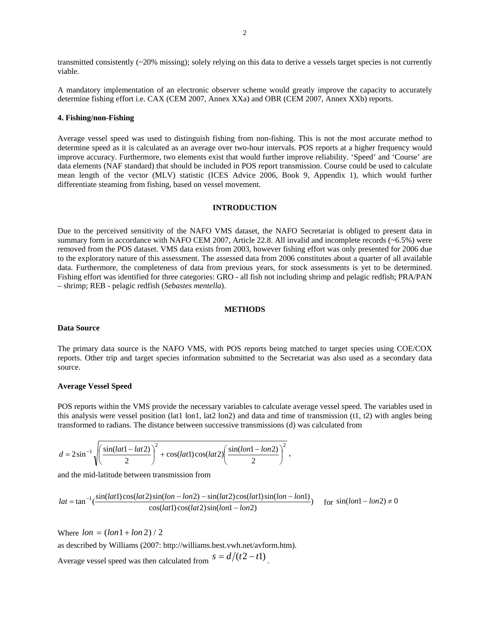transmitted consistently (~20% missing); solely relying on this data to derive a vessels target species is not currently viable.

A mandatory implementation of an electronic observer scheme would greatly improve the capacity to accurately determine fishing effort i.e. CAX (CEM 2007, Annex XXa) and OBR (CEM 2007, Annex XXb) reports.

#### **4. Fishing/non-Fishing**

Average vessel speed was used to distinguish fishing from non-fishing. This is not the most accurate method to determine speed as it is calculated as an average over two-hour intervals. POS reports at a higher frequency would improve accuracy. Furthermore, two elements exist that would further improve reliability. 'Speed' and 'Course' are data elements (NAF standard) that should be included in POS report transmission. Course could be used to calculate mean length of the vector (MLV) statistic (ICES Advice 2006, Book 9, Appendix 1), which would further differentiate steaming from fishing, based on vessel movement.

### **INTRODUCTION**

Due to the perceived sensitivity of the NAFO VMS dataset, the NAFO Secretariat is obliged to present data in summary form in accordance with NAFO CEM 2007, Article 22.8. All invalid and incomplete records (~6.5%) were removed from the POS dataset. VMS data exists from 2003, however fishing effort was only presented for 2006 due to the exploratory nature of this assessment. The assessed data from 2006 constitutes about a quarter of all available data. Furthermore, the completeness of data from previous years, for stock assessments is yet to be determined. Fishing effort was identified for three categories: GRO - all fish not including shrimp and pelagic redfish; PRA/PAN – shrimp; REB - pelagic redfish (*Sebastes mentella*).

### **METHODS**

#### **Data Source**

The primary data source is the NAFO VMS, with POS reports being matched to target species using COE/COX reports. Other trip and target species information submitted to the Secretariat was also used as a secondary data source.

#### **Average Vessel Speed**

POS reports within the VMS provide the necessary variables to calculate average vessel speed. The variables used in this analysis were vessel position (lat1 lon1, lat2 lon2) and data and time of transmission (t1, t2) with angles being transformed to radians. The distance between successive transmissions (d) was calculated from

$$
d = 2\sin^{-1}\sqrt{\left(\frac{\sin(lat - lat2)}{2}\right)^2 + \cos(lat)\cos(lat) \left(\frac{\sin(lon - lon2)}{2}\right)^2} ,
$$

and the mid-latitude between transmission from

$$
lat = \tan^{-1}\left(\frac{\sin(lat1)\cos(lat2)\sin(lon - lon2) - \sin(lat2)\cos(lat1)\sin(lon - lon1)}{\cos(lat1)\cos(lat2)\sin(lon1 - lon2)}\right)
$$
 for  $\sin(lon1 - lon2) \neq 0$ 

Where  $lon = (lon1 + lon2)/2$ 

as described by Williams (2007: http://williams.best.vwh.net/avform.htm).

Average vessel speed was then calculated from  $s = d/(t^2 - t)$ .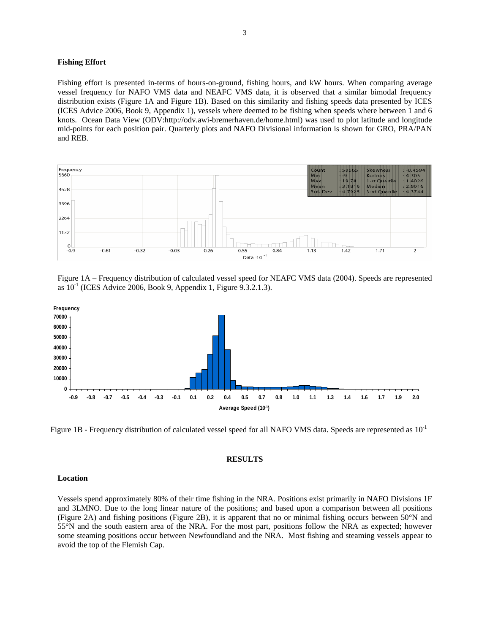### **Fishing Effort**

Fishing effort is presented in-terms of hours-on-ground, fishing hours, and kW hours. When comparing average vessel frequency for NAFO VMS data and NEAFC VMS data, it is observed that a similar bimodal frequency distribution exists (Figure 1A and Figure 1B). Based on this similarity and fishing speeds data presented by ICES (ICES Advice 2006, Book 9, Appendix 1), vessels where deemed to be fishing when speeds where between 1 and 6 knots. Ocean Data View (ODV:http://odv.awi-bremerhaven.de/home.html) was used to plot latitude and longitude mid-points for each position pair. Quarterly plots and NAFO Divisional information is shown for GRO, PRA/PAN and REB.



Figure 1A – Frequency distribution of calculated vessel speed for NEAFC VMS data (2004). Speeds are represented as  $10^{-1}$  (ICES Advice 2006, Book 9, Appendix 1, Figure 9.3.2.1.3).



Figure 1B - Frequency distribution of calculated vessel speed for all NAFO VMS data. Speeds are represented as  $10^{-1}$ 

#### **RESULTS**

#### **Location**

Vessels spend approximately 80% of their time fishing in the NRA. Positions exist primarily in NAFO Divisions 1F and 3LMNO. Due to the long linear nature of the positions; and based upon a comparison between all positions (Figure 2A) and fishing positions (Figure 2B), it is apparent that no or minimal fishing occurs between 50°N and 55°N and the south eastern area of the NRA. For the most part, positions follow the NRA as expected; however some steaming positions occur between Newfoundland and the NRA. Most fishing and steaming vessels appear to avoid the top of the Flemish Cap.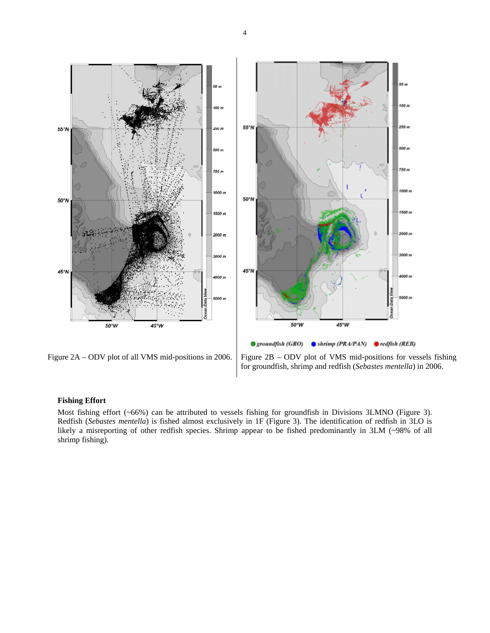

Figure  $2A - ODV$  plot of all VMS mid-positions in 2006. Figure  $2B - ODV$  plot of VMS mid-positions for vessels fishing for groundfish, shrimp and redfish (*Sebastes mentella*) in 2006.

## **Fishing Effort**

Most fishing effort (~66%) can be attributed to vessels fishing for groundfish in Divisions 3LMNO (Figure 3). Redfish (*Sebastes mentella*) is fished almost exclusively in 1F (Figure 3). The identification of redfish in 3LO is likely a misreporting of other redfish species. Shrimp appear to be fished predominantly in 3LM (~98% of all shrimp fishing).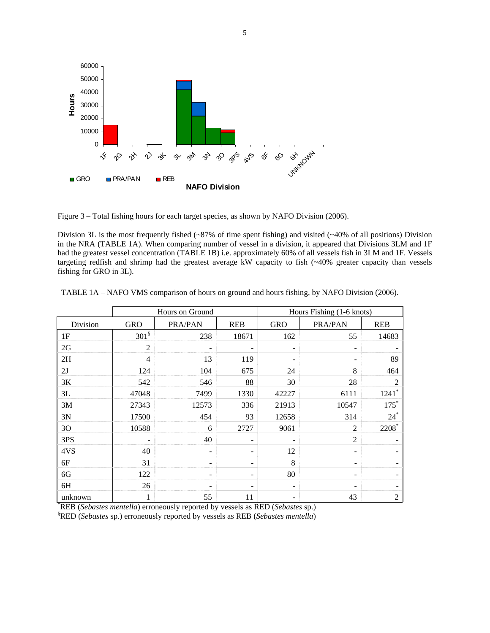

Figure 3 – Total fishing hours for each target species, as shown by NAFO Division (2006).

Division 3L is the most frequently fished (~87% of time spent fishing) and visited (~40% of all positions) Division in the NRA (TABLE 1A). When comparing number of vessel in a division, it appeared that Divisions 3LM and 1F had the greatest vessel concentration (TABLE 1B) i.e. approximately 60% of all vessels fish in 3LM and 1F. Vessels targeting redfish and shrimp had the greatest average kW capacity to fish (~40% greater capacity than vessels fishing for GRO in 3L).

|          |                  | Hours on Ground |            | Hours Fishing (1-6 knots) |                              |                     |  |  |  |
|----------|------------------|-----------------|------------|---------------------------|------------------------------|---------------------|--|--|--|
| Division | <b>GRO</b>       | PRA/PAN         | <b>REB</b> | <b>GRO</b>                | PRA/PAN                      | <b>REB</b>          |  |  |  |
| 1F       | 301 <sup>§</sup> | 238             | 18671      | 162                       | 55                           | 14683               |  |  |  |
| 2G       | $\overline{2}$   |                 |            | $\overline{\phantom{a}}$  | $\qquad \qquad \blacksquare$ |                     |  |  |  |
| 2H       | $\overline{4}$   | 13              | 119        |                           | $\overline{a}$               | 89                  |  |  |  |
| 2J       | 124              | 104             | 675        | 24                        | 8                            | 464                 |  |  |  |
| 3K       | 542              | 546             | 88         | 30                        | 28                           | $\overline{c}$      |  |  |  |
| 3L       | 47048            | 7499            | 1330       | 42227                     | 6111                         | $1241$ <sup>*</sup> |  |  |  |
| 3M       | 27343            | 12573           | 336        | 21913                     | 10547                        | $175*$              |  |  |  |
| 3N       | 17500            | 454             | 93         | 12658                     | 314                          | $24^*$              |  |  |  |
| 30       | 10588            | 6               | 2727       | 9061                      | $\overline{2}$               | 2208*               |  |  |  |
| 3PS      |                  | 40              | -          |                           | $\overline{2}$               |                     |  |  |  |
| 4VS      | 40               |                 |            | 12                        |                              |                     |  |  |  |
| 6F       | 31               | -               | -          | 8                         | $\qquad \qquad -$            |                     |  |  |  |
| 6G       | 122              |                 |            | 80                        | $\qquad \qquad -$            |                     |  |  |  |
| 6H       | 26               |                 |            |                           |                              |                     |  |  |  |
| unknown  | 1                | 55              | 11         |                           | 43                           | $\overline{2}$      |  |  |  |

| TABLE 1A – NAFO VMS comparison of hours on ground and hours fishing, by NAFO Division (2006). |  |  |  |
|-----------------------------------------------------------------------------------------------|--|--|--|
|                                                                                               |  |  |  |

\* REB (*Sebastes mentella*) erroneously reported by vessels as RED (*Sebastes* sp.)

§ RED (*Sebastes* sp.) erroneously reported by vessels as REB (*Sebastes mentella*)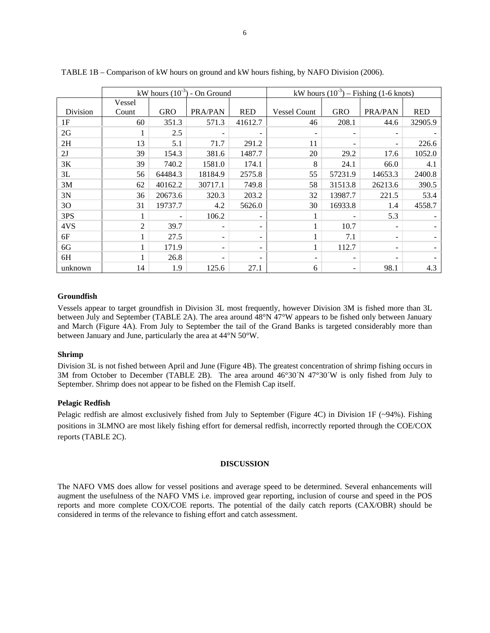|          |        |            | kW hours $(10^{-3})$ - On Ground |            | kW hours $(10^{-3})$ – Fishing (1-6 knots) |            |         |            |  |
|----------|--------|------------|----------------------------------|------------|--------------------------------------------|------------|---------|------------|--|
|          | Vessel |            |                                  |            |                                            |            |         |            |  |
| Division | Count  | <b>GRO</b> | PRA/PAN                          | <b>RED</b> | <b>Vessel Count</b>                        | <b>GRO</b> | PRA/PAN | <b>RED</b> |  |
| 1F       | 60     | 351.3      | 571.3                            | 41612.7    | 46                                         | 208.1      | 44.6    | 32905.9    |  |
| 2G       |        | 2.5        |                                  |            | $\overline{\phantom{a}}$                   |            |         |            |  |
| 2H       | 13     | 5.1        | 71.7                             | 291.2      | 11                                         |            | -       | 226.6      |  |
| 2J       | 39     | 154.3      | 381.6                            | 1487.7     | 20                                         | 29.2       | 17.6    | 1052.0     |  |
| 3K       | 39     | 740.2      | 1581.0                           | 174.1      | 8                                          | 24.1       | 66.0    | 4.1        |  |
| 3L       | 56     | 64484.3    | 18184.9                          | 2575.8     | 55                                         | 57231.9    | 14653.3 | 2400.8     |  |
| 3M       | 62     | 40162.2    | 30717.1                          | 749.8      | 58                                         | 31513.8    | 26213.6 | 390.5      |  |
| 3N       | 36     | 20673.6    | 320.3                            | 203.2      | 32                                         | 13987.7    | 221.5   | 53.4       |  |
| 30       | 31     | 19737.7    | 4.2                              | 5626.0     | 30                                         | 16933.8    | 1.4     | 4558.7     |  |
| 3PS      |        |            | 106.2                            |            |                                            |            | 5.3     |            |  |
| 4VS      | 2      | 39.7       |                                  |            | 1                                          | 10.7       |         |            |  |
| 6F       |        | 27.5       |                                  |            |                                            | 7.1        |         |            |  |
| 6G       |        | 171.9      | $\overline{\phantom{0}}$         |            | 1                                          | 112.7      |         |            |  |
| 6H       |        | 26.8       | $\overline{\phantom{0}}$         |            | $\overline{\phantom{a}}$                   |            |         |            |  |
| unknown  | 14     | 1.9        | 125.6                            | 27.1       | 6                                          |            | 98.1    | 4.3        |  |

TABLE 1B – Comparison of kW hours on ground and kW hours fishing, by NAFO Division (2006).

### **Groundfish**

Vessels appear to target groundfish in Division 3L most frequently, however Division 3M is fished more than 3L between July and September (TABLE 2A). The area around 48°N 47°W appears to be fished only between January and March (Figure 4A). From July to September the tail of the Grand Banks is targeted considerably more than between January and June, particularly the area at 44°N 50°W.

### **Shrimp**

Division 3L is not fished between April and June (Figure 4B). The greatest concentration of shrimp fishing occurs in 3M from October to December (TABLE 2B). The area around 46°30´N 47°30´W is only fished from July to September. Shrimp does not appear to be fished on the Flemish Cap itself.

#### **Pelagic Redfish**

Pelagic redfish are almost exclusively fished from July to September (Figure 4C) in Division 1F (~94%). Fishing positions in 3LMNO are most likely fishing effort for demersal redfish, incorrectly reported through the COE/COX reports (TABLE 2C).

#### **DISCUSSION**

The NAFO VMS does allow for vessel positions and average speed to be determined. Several enhancements will augment the usefulness of the NAFO VMS i.e. improved gear reporting, inclusion of course and speed in the POS reports and more complete COX/COE reports. The potential of the daily catch reports (CAX/OBR) should be considered in terms of the relevance to fishing effort and catch assessment.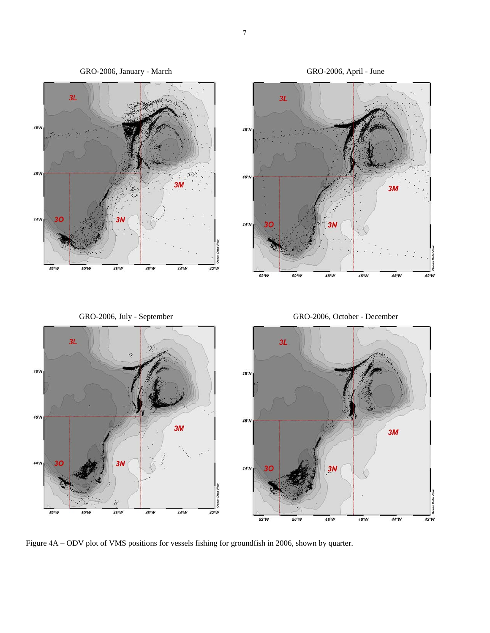

Figure 4A – ODV plot of VMS positions for vessels fishing for groundfish in 2006, shown by quarter.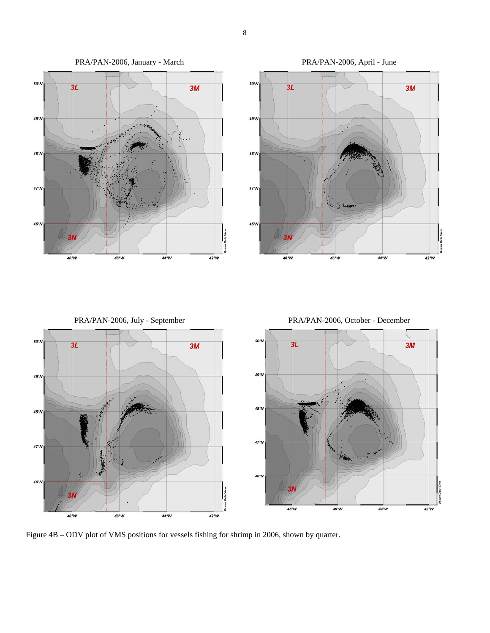

Figure 4B – ODV plot of VMS positions for vessels fishing for shrimp in 2006, shown by quarter.

8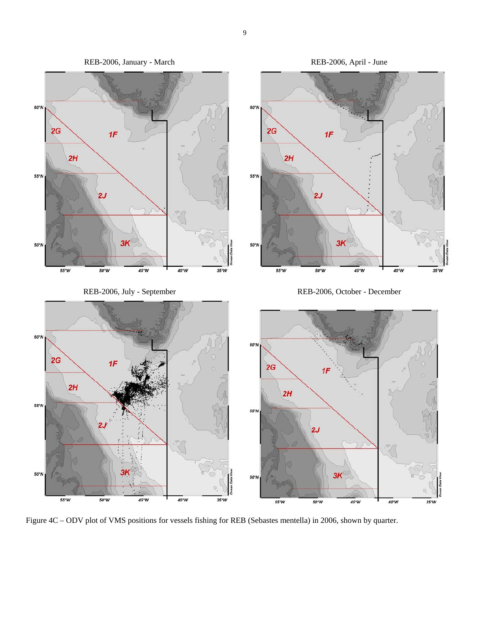

Figure 4C – ODV plot of VMS positions for vessels fishing for REB (Sebastes mentella) in 2006, shown by quarter.

9